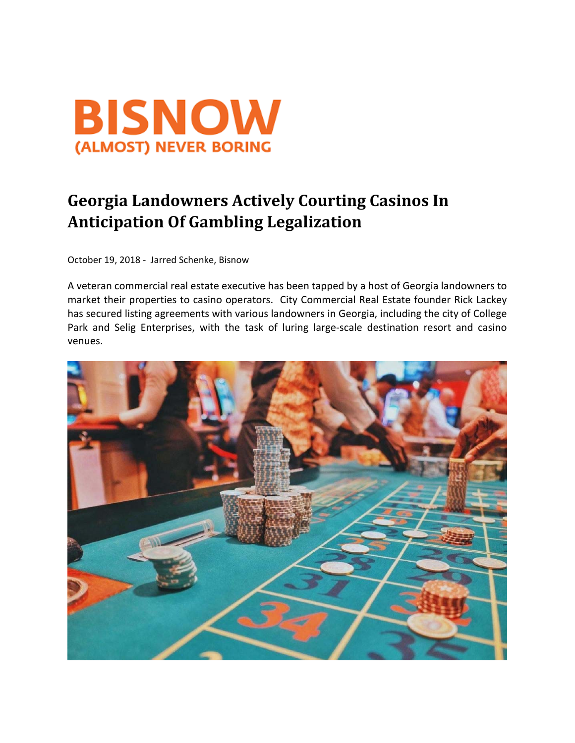

## **Georgia Landowners Actively Courting Casinos In Anticipation Of Gambling Legalization**

October 19, 2018 ‐ Jarred Schenke, Bisnow

A veteran commercial real estate executive has been tapped by a host of Georgia landowners to market their properties to casino operators. City Commercial Real Estate founder Rick Lackey has secured listing agreements with various landowners in Georgia, including the city of College Park and Selig Enterprises, with the task of luring large-scale destination resort and casino venues.

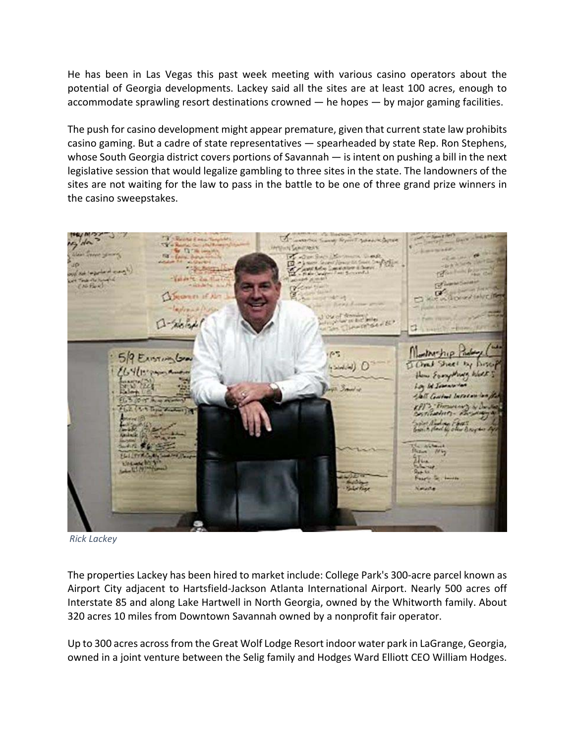He has been in Las Vegas this past week meeting with various casino operators about the potential of Georgia developments. Lackey said all the sites are at least 100 acres, enough to accommodate sprawling resort destinations crowned — he hopes — by major gaming facilities.

The push for casino development might appear premature, given that current state law prohibits casino gaming. But a cadre of state representatives — spearheaded by state Rep. Ron Stephens, whose South Georgia district covers portions of Savannah — is intent on pushing a bill in the next legislative session that would legalize gambling to three sites in the state. The landowners of the sites are not waiting for the law to pass in the battle to be one of three grand prize winners in the casino sweepstakes.



*Rick Lackey*

The properties Lackey has been hired to market include: College Park's 300‐acre parcel known as Airport City adjacent to Hartsfield‐Jackson Atlanta International Airport. Nearly 500 acres off Interstate 85 and along Lake Hartwell in North Georgia, owned by the Whitworth family. About 320 acres 10 miles from Downtown Savannah owned by a nonprofit fair operator.

Up to 300 acres acrossfrom the Great Wolf Lodge Resort indoor water park in LaGrange, Georgia, owned in a joint venture between the Selig family and Hodges Ward Elliott CEO William Hodges.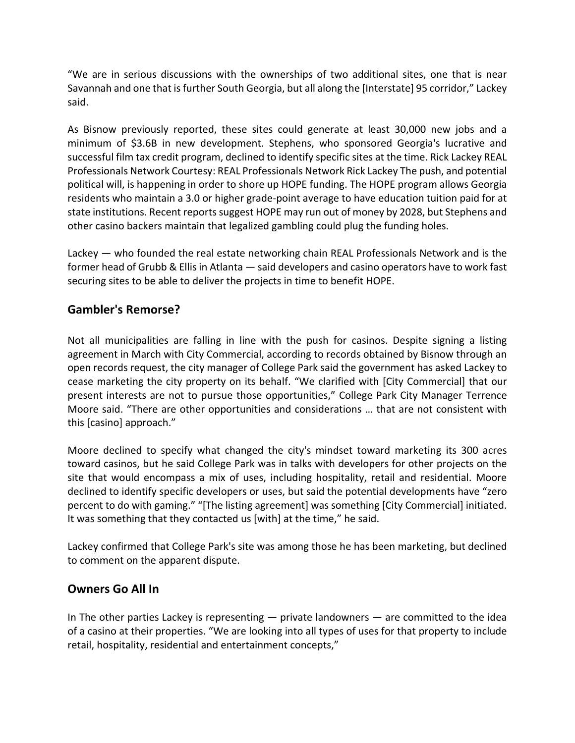"We are in serious discussions with the ownerships of two additional sites, one that is near Savannah and one that isfurther South Georgia, but all along the [Interstate] 95 corridor," Lackey said.

As Bisnow previously reported, these sites could generate at least 30,000 new jobs and a minimum of \$3.6B in new development. Stephens, who sponsored Georgia's lucrative and successful film tax credit program, declined to identify specific sites at the time. Rick Lackey REAL Professionals Network Courtesy: REAL Professionals Network Rick Lackey The push, and potential political will, is happening in order to shore up HOPE funding. The HOPE program allows Georgia residents who maintain a 3.0 or higher grade‐point average to have education tuition paid for at state institutions. Recent reports suggest HOPE may run out of money by 2028, but Stephens and other casino backers maintain that legalized gambling could plug the funding holes.

Lackey — who founded the real estate networking chain REAL Professionals Network and is the former head of Grubb & Ellis in Atlanta — said developers and casino operators have to work fast securing sites to be able to deliver the projects in time to benefit HOPE.

## **Gambler's Remorse?**

Not all municipalities are falling in line with the push for casinos. Despite signing a listing agreement in March with City Commercial, according to records obtained by Bisnow through an open records request, the city manager of College Park said the government has asked Lackey to cease marketing the city property on its behalf. "We clarified with [City Commercial] that our present interests are not to pursue those opportunities," College Park City Manager Terrence Moore said. "There are other opportunities and considerations … that are not consistent with this [casino] approach."

Moore declined to specify what changed the city's mindset toward marketing its 300 acres toward casinos, but he said College Park was in talks with developers for other projects on the site that would encompass a mix of uses, including hospitality, retail and residential. Moore declined to identify specific developers or uses, but said the potential developments have "zero percent to do with gaming." "[The listing agreement] was something [City Commercial] initiated. It was something that they contacted us [with] at the time," he said.

Lackey confirmed that College Park's site was among those he has been marketing, but declined to comment on the apparent dispute.

## **Owners Go All In**

In The other parties Lackey is representing  $-$  private landowners  $-$  are committed to the idea of a casino at their properties. "We are looking into all types of uses for that property to include retail, hospitality, residential and entertainment concepts,"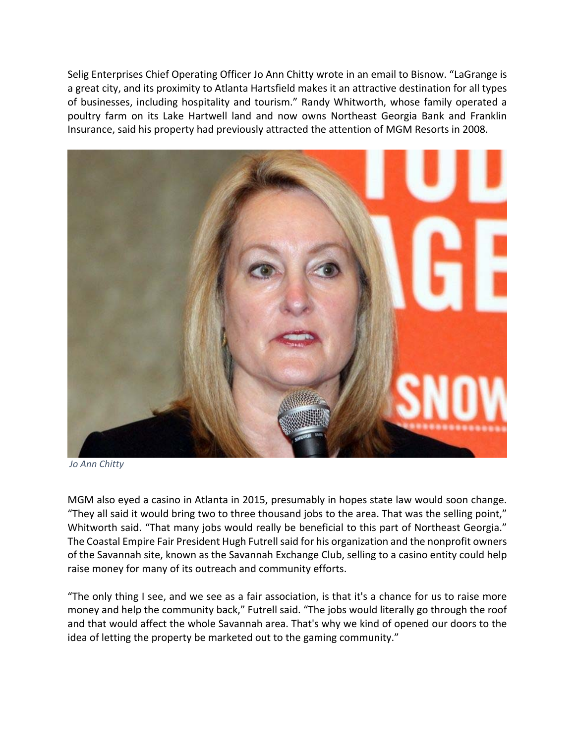Selig Enterprises Chief Operating Officer Jo Ann Chitty wrote in an email to Bisnow. "LaGrange is a great city, and its proximity to Atlanta Hartsfield makes it an attractive destination for all types of businesses, including hospitality and tourism." Randy Whitworth, whose family operated a poultry farm on its Lake Hartwell land and now owns Northeast Georgia Bank and Franklin Insurance, said his property had previously attracted the attention of MGM Resorts in 2008.



*Jo Ann Chitty*

MGM also eyed a casino in Atlanta in 2015, presumably in hopes state law would soon change. "They all said it would bring two to three thousand jobs to the area. That was the selling point," Whitworth said. "That many jobs would really be beneficial to this part of Northeast Georgia." The Coastal Empire Fair President Hugh Futrell said for his organization and the nonprofit owners of the Savannah site, known as the Savannah Exchange Club, selling to a casino entity could help raise money for many of its outreach and community efforts.

"The only thing I see, and we see as a fair association, is that it's a chance for us to raise more money and help the community back," Futrell said. "The jobs would literally go through the roof and that would affect the whole Savannah area. That's why we kind of opened our doors to the idea of letting the property be marketed out to the gaming community."